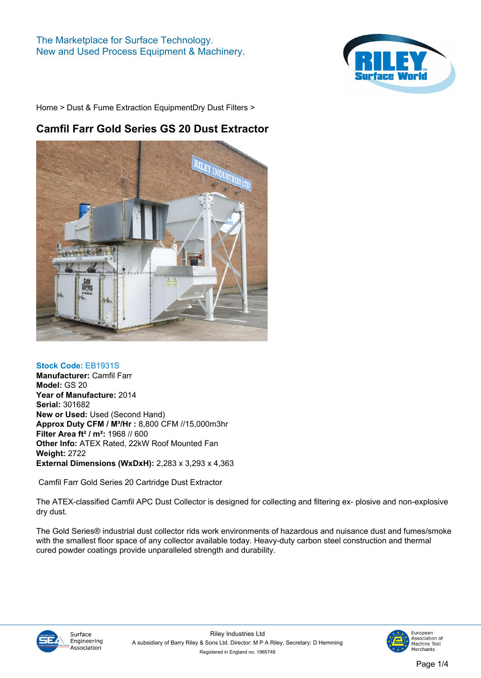

# **Camfil Farr Gold Series GS 20 Dust Extractor**



# **Stock Code: EB1931S**

**Manufacturer: Camfil Farr Model: GS 20 Year of Manufacture: 2014 Serial: 301682 New or Used: Used (Second Hand) Approx Duty CFM / M³/Hr : 8,800 CFM //15,000m3hr Filter Area ft² / m²: 1968 // 600 Other Info: ATEX Rated, 22kW Roof Mounted Fan Weight: 2722 External Dimensions (WxDxH): 2,283 x 3,293 x 4,363**

 **Camfil Farr Gold Series 20 Cartridge Dust Extractor**

**The ATEX-classified Camfil APC Dust Collector is designed for collecting and filtering ex- plosive and non-explosive dry dust.** 

**The Gold Series® industrial dust collector rids work environments of hazardous and nuisance dust and fumes/smoke with the smallest floor space of any collector available today. Heavy-duty carbon steel construction and thermal cured powder coatings provide unparalleled strength and durability.**



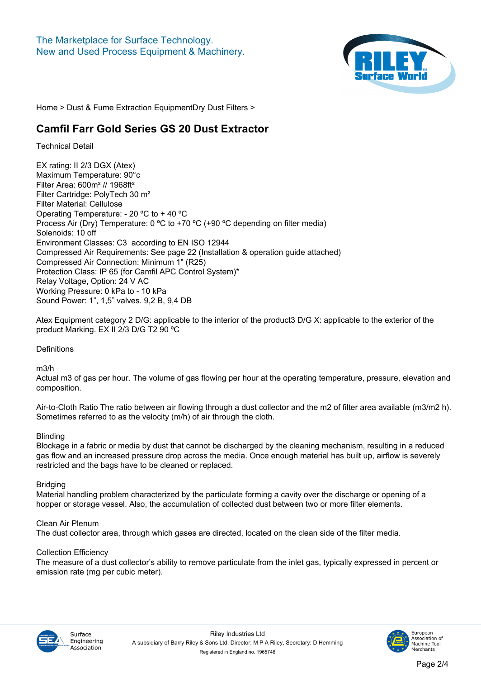

# **Camfil Farr Gold Series GS 20 Dust Extractor**

**Technical Detail**

**EX rating: II 2/3 DGX (Atex) Maximum Temperature: 90°c Filter Area: 600m² // 1968ft² Filter Cartridge: PolyTech 30 m² Filter Material: Cellulose Operating Temperature: - 20 ºC to + 40 ºC Process Air (Dry) Temperature: 0 ºC to +70 ºC (+90 ºC depending on filter media) Solenoids: 10 off Environment Classes: C3 according to EN ISO 12944 Compressed Air Requirements: See page 22 (Installation & operation guide attached) Compressed Air Connection: Minimum 1" (R25) Protection Class: IP 65 (for Camfil APC Control System)\* Relay Voltage, Option: 24 V AC Working Pressure: 0 kPa to - 10 kPa Sound Power: 1", 1,5" valves. 9,2 B, 9,4 DB**

**Atex Equipment category 2 D/G: applicable to the interior of the product3 D/G X: applicable to the exterior of the product Marking. EX II 2/3 D/G T2 90 ºC** 

**Definitions**

**m3/h**

**Actual m3 of gas per hour. The volume of gas flowing per hour at the operating temperature, pressure, elevation and composition.**

**Air-to-Cloth Ratio The ratio between air flowing through a dust collector and the m2 of filter area available (m3/m2 h). Sometimes referred to as the velocity (m/h) of air through the cloth.**

# **Blinding**

**Blockage in a fabric or media by dust that cannot be discharged by the cleaning mechanism, resulting in a reduced gas flow and an increased pressure drop across the media. Once enough material has built up, airflow is severely restricted and the bags have to be cleaned or replaced.**

# **Bridging**

**Material handling problem characterized by the particulate forming a cavity over the discharge or opening of a hopper or storage vessel. Also, the accumulation of collected dust between two or more filter elements.**

# **Clean Air Plenum**

**The dust collector area, through which gases are directed, located on the clean side of the filter media.**

# **Collection Efficiency**

**The measure of a dust collector's ability to remove particulate from the inlet gas, typically expressed in percent or emission rate (mg per cubic meter).**



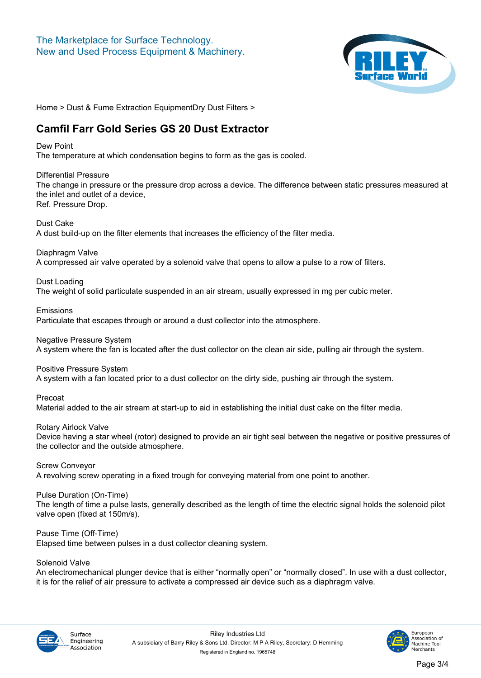

# **Camfil Farr Gold Series GS 20 Dust Extractor**

#### **Dew Point**

**The temperature at which condensation begins to form as the gas is cooled.**

#### **Differential Pressure**

**The change in pressure or the pressure drop across a device. The difference between static pressures measured at the inlet and outlet of a device, Ref. Pressure Drop.**

**Dust Cake**

**A dust build-up on the filter elements that increases the efficiency of the filter media.**

**Diaphragm Valve**

**A compressed air valve operated by a solenoid valve that opens to allow a pulse to a row of filters.**

# **Dust Loading**

**The weight of solid particulate suspended in an air stream, usually expressed in mg per cubic meter.**

#### **Emissions**

**Particulate that escapes through or around a dust collector into the atmosphere.**

**Negative Pressure System**

**A system where the fan is located after the dust collector on the clean air side, pulling air through the system.**

# **Positive Pressure System**

**A system with a fan located prior to a dust collector on the dirty side, pushing air through the system.**

**Precoat**

**Material added to the air stream at start-up to aid in establishing the initial dust cake on the filter media.**

**Rotary Airlock Valve**

**Device having a star wheel (rotor) designed to provide an air tight seal between the negative or positive pressures of the collector and the outside atmosphere.**

**Screw Conveyor**

**A revolving screw operating in a fixed trough for conveying material from one point to another.**

# **Pulse Duration (On-Time)**

**The length of time a pulse lasts, generally described as the length of time the electric signal holds the solenoid pilot valve open (fixed at 150m/s).**

# **Pause Time (Off-Time)**

**Elapsed time between pulses in a dust collector cleaning system.**

# **Solenoid Valve**

**An electromechanical plunger device that is either "normally open" or "normally closed". In use with a dust collector, it is for the relief of air pressure to activate a compressed air device such as a diaphragm valve.**